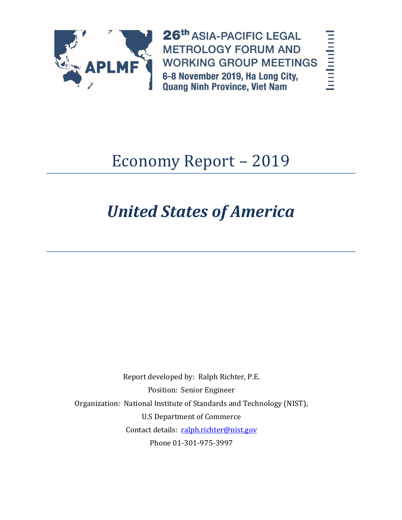

26th ASIA-PACIFIC LEGAL **METROLOGY FORUM AND WORKING GROUP MEETINGS** 6-8 November 2019, Ha Long City, **Quang Ninh Province, Viet Nam** 

**The Change of Second** 

# Economy Report – 2019

# *United States of America*

Report developed by: Ralph Richter, P.E. Position: Senior Engineer Organization: National Institute of Standards and Technology (NIST), U.S Department of Commerce Contact details: [ralph.richter@nist.gov](mailto:ralph.richter@nist.gov) Phone 01-301-975-3997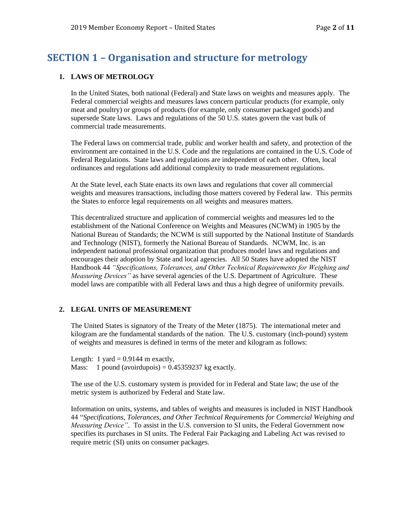# **SECTION 1 – Organisation and structure for metrology**

#### **1. LAWS OF METROLOGY**

In the United States, both national (Federal) and State laws on weights and measures apply. The Federal commercial weights and measures laws concern particular products (for example, only meat and poultry) or groups of products (for example, only consumer packaged goods) and supersede State laws. Laws and regulations of the 50 U.S. states govern the vast bulk of commercial trade measurements.

The Federal laws on commercial trade, public and worker health and safety, and protection of the environment are contained in the U.S. Code and the regulations are contained in the U.S. Code of Federal Regulations. State laws and regulations are independent of each other. Often, local ordinances and regulations add additional complexity to trade measurement regulations.

At the State level, each State enacts its own laws and regulations that cover all commercial weights and measures transactions, including those matters covered by Federal law. This permits the States to enforce legal requirements on all weights and measures matters.

This decentralized structure and application of commercial weights and measures led to the establishment of the National Conference on Weights and Measures (NCWM) in 1905 by the National Bureau of Standards; the NCWM is still supported by the National Institute of Standards and Technology (NIST), formerly the National Bureau of Standards. NCWM, Inc. is an independent national professional organization that produces model laws and regulations and encourages their adoption by State and local agencies. All 50 States have adopted the NIST Handbook 44 *"Specifications, Tolerances, and Other Technical Requirements for Weighing and Measuring Devices"* as have several agencies of the U.S. Department of Agriculture. These model laws are compatible with all Federal laws and thus a high degree of uniformity prevails.

### **2. LEGAL UNITS OF MEASUREMENT**

The United States is signatory of the Treaty of the Meter (1875). The international meter and kilogram are the fundamental standards of the nation. The U.S. customary (inch-pound) system of weights and measures is defined in terms of the meter and kilogram as follows:

Length: 1 yard  $= 0.9144$  m exactly, Mass: 1 pound (avoirdupois) =  $0.45359237$  kg exactly.

The use of the U.S. customary system is provided for in Federal and State law; the use of the metric system is authorized by Federal and State law.

Information on units, systems, and tables of weights and measures is included in NIST Handbook 44 "*Specifications, Tolerances, and Other Technical Requirements for Commercial Weighing and Measuring Device"*.To assist in the U.S. conversion to SI units, the Federal Government now specifies its purchases in SI units. The Federal Fair Packaging and Labeling Act was revised to require metric (SI) units on consumer packages.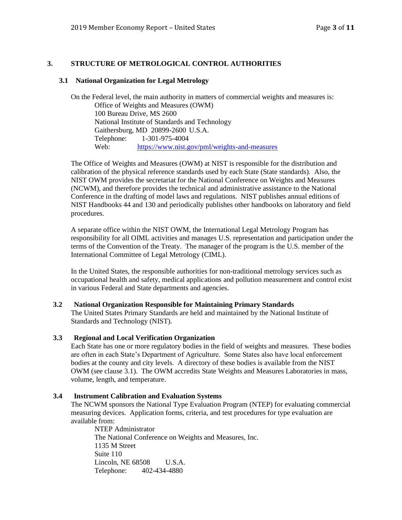#### **3. STRUCTURE OF METROLOGICAL CONTROL AUTHORITIES**

#### **3.1 National Organization for Legal Metrology**

On the Federal level, the main authority in matters of commercial weights and measures is: Office of Weights and Measures (OWM) 100 Bureau Drive, MS 2600 National Institute of Standards and Technology Gaithersburg, MD 20899-2600 U.S.A. Telephone: 1-301-975-4004 Web: <https://www.nist.gov/pml/weights-and-measures>

The Office of Weights and Measures (OWM) at NIST is responsible for the distribution and calibration of the physical reference standards used by each State (State standards). Also, the NIST OWM provides the secretariat for the National Conference on Weights and Measures (NCWM), and therefore provides the technical and administrative assistance to the National Conference in the drafting of model laws and regulations. NIST publishes annual editions of NIST Handbooks 44 and 130 and periodically publishes other handbooks on laboratory and field procedures.

A separate office within the NIST OWM, the International Legal Metrology Program has responsibility for all OIML activities and manages U.S. representation and participation under the terms of the Convention of the Treaty. The manager of the program is the U.S. member of the International Committee of Legal Metrology (CIML).

In the United States, the responsible authorities for non-traditional metrology services such as occupational health and safety, medical applications and pollution measurement and control exist in various Federal and State departments and agencies.

#### **3.2 National Organization Responsible for Maintaining Primary Standards**

The United States Primary Standards are held and maintained by the National Institute of Standards and Technology (NIST).

#### **3.3 Regional and Local Verification Organization**

Each State has one or more regulatory bodies in the field of weights and measures. These bodies are often in each State's Department of Agriculture. Some States also have local enforcement bodies at the county and city levels. A directory of these bodies is available from the NIST OWM (see clause 3.1). The OWM accredits State Weights and Measures Laboratories in mass, volume, length, and temperature.

#### **3.4 Instrument Calibration and Evaluation Systems**

The NCWM sponsors the National Type Evaluation Program (NTEP) for evaluating commercial measuring devices. Application forms, criteria, and test procedures for type evaluation are available from:

NTEP Administrator The National Conference on Weights and Measures, Inc. 1135 M Street Suite 110 Lincoln, NE 68508 U.S.A. Telephone: 402-434-4880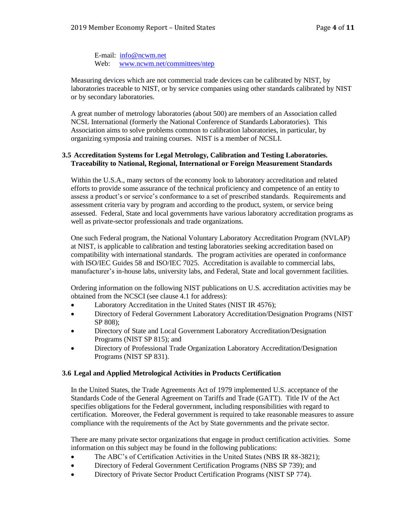E-mail: [info@ncwm.net](mailto:info@ncwm.net) Web: [www.ncwm.net/committees/ntep](http://www.ncwm.net/committees/ntep)

Measuring devices which are not commercial trade devices can be calibrated by NIST, by laboratories traceable to NIST, or by service companies using other standards calibrated by NIST or by secondary laboratories.

A great number of metrology laboratories (about 500) are members of an Association called NCSL International (formerly the National Conference of Standards Laboratories). This Association aims to solve problems common to calibration laboratories, in particular, by organizing symposia and training courses. NIST is a member of NCSLI.

#### **3.5 Accreditation Systems for Legal Metrology, Calibration and Testing Laboratories. Traceability to National, Regional, International or Foreign Measurement Standards**

Within the U.S.A., many sectors of the economy look to laboratory accreditation and related efforts to provide some assurance of the technical proficiency and competence of an entity to assess a product's or service's conformance to a set of prescribed standards. Requirements and assessment criteria vary by program and according to the product, system, or service being assessed. Federal, State and local governments have various laboratory accreditation programs as well as private-sector professionals and trade organizations.

One such Federal program, the National Voluntary Laboratory Accreditation Program (NVLAP) at NIST, is applicable to calibration and testing laboratories seeking accreditation based on compatibility with international standards. The program activities are operated in conformance with ISO/IEC Guides 58 and ISO/IEC 7025. Accreditation is available to commercial labs, manufacturer's in-house labs, university labs, and Federal, State and local government facilities.

Ordering information on the following NIST publications on U.S. accreditation activities may be obtained from the NCSCI (see clause 4.1 for address):

- Laboratory Accreditation in the United States (NIST IR 4576);
- Directory of Federal Government Laboratory Accreditation/Designation Programs (NIST SP 808);
- Directory of State and Local Government Laboratory Accreditation/Designation Programs (NIST SP 815); and
- Directory of Professional Trade Organization Laboratory Accreditation/Designation Programs (NIST SP 831).

#### **3.6 Legal and Applied Metrological Activities in Products Certification**

In the United States, the Trade Agreements Act of 1979 implemented U.S. acceptance of the Standards Code of the General Agreement on Tariffs and Trade (GATT). Title IV of the Act specifies obligations for the Federal government, including responsibilities with regard to certification. Moreover, the Federal government is required to take reasonable measures to assure compliance with the requirements of the Act by State governments and the private sector.

There are many private sector organizations that engage in product certification activities. Some information on this subject may be found in the following publications:

- The ABC's of Certification Activities in the United States (NBS IR 88-3821);
- Directory of Federal Government Certification Programs (NBS SP 739); and
- Directory of Private Sector Product Certification Programs (NIST SP 774).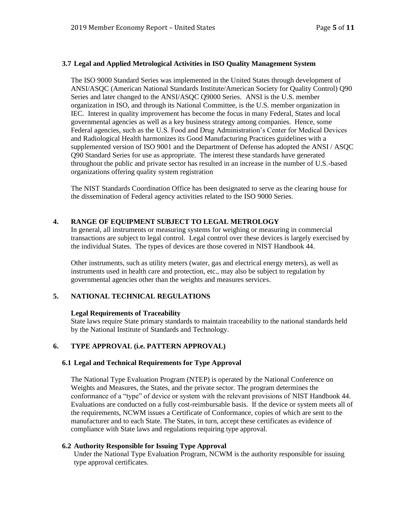#### **3.7 Legal and Applied Metrological Activities in ISO Quality Management System**

The ISO 9000 Standard Series was implemented in the United States through development of ANSI/ASQC (American National Standards Institute/American Society for Quality Control) Q90 Series and later changed to the ANSI/ASQC Q9000 Series. ANSI is the U.S. member organization in ISO, and through its National Committee, is the U.S. member organization in IEC. Interest in quality improvement has become the focus in many Federal, States and local governmental agencies as well as a key business strategy among companies. Hence, some Federal agencies, such as the U.S. Food and Drug Administration's Center for Medical Devices and Radiological Health harmonizes its Good Manufacturing Practices guidelines with a supplemented version of ISO 9001 and the Department of Defense has adopted the ANSI / ASQC Q90 Standard Series for use as appropriate. The interest these standards have generated throughout the public and private sector has resulted in an increase in the number of U.S.-based organizations offering quality system registration

The NIST Standards Coordination Office has been designated to serve as the clearing house for the dissemination of Federal agency activities related to the ISO 9000 Series.

#### **4. RANGE OF EQUIPMENT SUBJECT TO LEGAL METROLOGY**

In general, all instruments or measuring systems for weighing or measuring in commercial transactions are subject to legal control. Legal control over these devices is largely exercised by the individual States. The types of devices are those covered in NIST Handbook 44.

Other instruments, such as utility meters (water, gas and electrical energy meters), as well as instruments used in health care and protection, etc., may also be subject to regulation by governmental agencies other than the weights and measures services.

#### **5. NATIONAL TECHNICAL REGULATIONS**

#### **Legal Requirements of Traceability**

State laws require State primary standards to maintain traceability to the national standards held by the National Institute of Standards and Technology.

#### **6. TYPE APPROVAL (i.e. PATTERN APPROVAL)**

#### **6.1 Legal and Technical Requirements for Type Approval**

The National Type Evaluation Program (NTEP) is operated by the National Conference on Weights and Measures, the States, and the private sector. The program determines the conformance of a "type" of device or system with the relevant provisions of NIST Handbook 44. Evaluations are conducted on a fully cost-reimbursable basis. If the device or system meets all of the requirements, NCWM issues a Certificate of Conformance, copies of which are sent to the manufacturer and to each State. The States, in turn, accept these certificates as evidence of compliance with State laws and regulations requiring type approval.

#### **6.2 Authority Responsible for Issuing Type Approval**

Under the National Type Evaluation Program, NCWM is the authority responsible for issuing type approval certificates.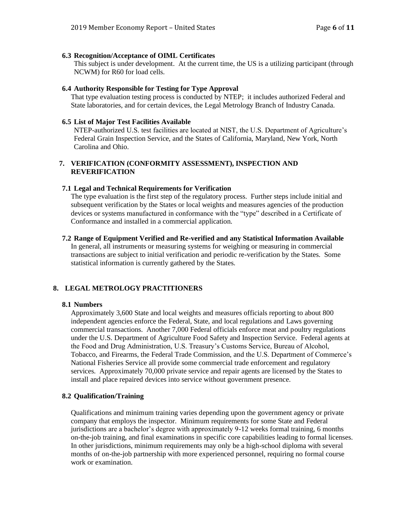#### **6.3 Recognition/Acceptance of OIML Certificates**

This subject is under development. At the current time, the US is a utilizing participant (through NCWM) for R60 for load cells.

#### **6.4 Authority Responsible for Testing for Type Approval**

That type evaluation testing process is conducted by NTEP; it includes authorized Federal and State laboratories, and for certain devices, the Legal Metrology Branch of Industry Canada.

#### **6.5 List of Major Test Facilities Available**

NTEP-authorized U.S. test facilities are located at NIST, the U.S. Department of Agriculture's Federal Grain Inspection Service, and the States of California, Maryland, New York, North Carolina and Ohio.

#### **7. VERIFICATION (CONFORMITY ASSESSMENT), INSPECTION AND REVERIFICATION**

#### **7.1 Legal and Technical Requirements for Verification**

The type evaluation is the first step of the regulatory process. Further steps include initial and subsequent verification by the States or local weights and measures agencies of the production devices or systems manufactured in conformance with the "type" described in a Certificate of Conformance and installed in a commercial application.

#### **7.2 Range of Equipment Verified and Re-verified and any Statistical Information Available**

In general, all instruments or measuring systems for weighing or measuring in commercial transactions are subject to initial verification and periodic re-verification by the States. Some statistical information is currently gathered by the States.

#### **8. LEGAL METROLOGY PRACTITIONERS**

#### **8.1 Numbers**

Approximately 3,600 State and local weights and measures officials reporting to about 800 independent agencies enforce the Federal, State, and local regulations and Laws governing commercial transactions. Another 7,000 Federal officials enforce meat and poultry regulations under the U.S. Department of Agriculture Food Safety and Inspection Service. Federal agents at the Food and Drug Administration, U.S. Treasury's Customs Service, Bureau of Alcohol, Tobacco, and Firearms, the Federal Trade Commission, and the U.S. Department of Commerce's National Fisheries Service all provide some commercial trade enforcement and regulatory services. Approximately 70,000 private service and repair agents are licensed by the States to install and place repaired devices into service without government presence.

#### **8.2 Qualification/Training**

Qualifications and minimum training varies depending upon the government agency or private company that employs the inspector. Minimum requirements for some State and Federal jurisdictions are a bachelor's degree with approximately 9-12 weeks formal training, 6 months on-the-job training, and final examinations in specific core capabilities leading to formal licenses. In other jurisdictions, minimum requirements may only be a high-school diploma with several months of on-the-job partnership with more experienced personnel, requiring no formal course work or examination.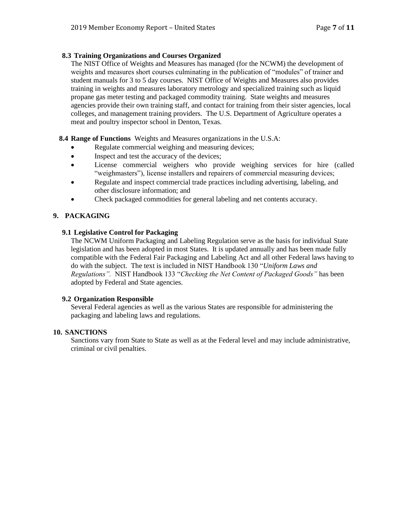#### **8.3 Training Organizations and Courses Organized**

The NIST Office of Weights and Measures has managed (for the NCWM) the development of weights and measures short courses culminating in the publication of "modules" of trainer and student manuals for 3 to 5 day courses. NIST Office of Weights and Measures also provides training in weights and measures laboratory metrology and specialized training such as liquid propane gas meter testing and packaged commodity training. State weights and measures agencies provide their own training staff, and contact for training from their sister agencies, local colleges, and management training providers. The U.S. Department of Agriculture operates a meat and poultry inspector school in Denton, Texas.

**8.4 Range of Functions** Weights and Measures organizations in the U.S.A:

- Regulate commercial weighing and measuring devices;
- Inspect and test the accuracy of the devices;
- License commercial weighers who provide weighing services for hire (called "weighmasters"), license installers and repairers of commercial measuring devices;
- Regulate and inspect commercial trade practices including advertising, labeling, and other disclosure information; and
- Check packaged commodities for general labeling and net contents accuracy.

## **9. PACKAGING**

#### **9.1 Legislative Control for Packaging**

The NCWM Uniform Packaging and Labeling Regulation serve as the basis for individual State legislation and has been adopted in most States. It is updated annually and has been made fully compatible with the Federal Fair Packaging and Labeling Act and all other Federal laws having to do with the subject. The text is included in NIST Handbook 130 "*Uniform Laws and Regulations".* NIST Handbook 133 "*Checking the Net Content of Packaged Goods"* has been adopted by Federal and State agencies.

#### **9.2 Organization Responsible**

Several Federal agencies as well as the various States are responsible for administering the packaging and labeling laws and regulations.

#### **10. SANCTIONS**

Sanctions vary from State to State as well as at the Federal level and may include administrative, criminal or civil penalties.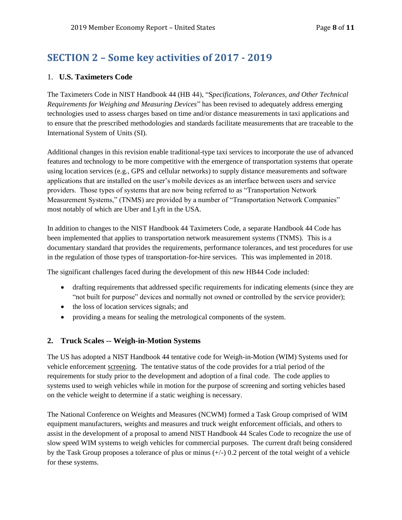# **SECTION 2 – Some key activities of 2017 - 2019**

# 1. **U.S. Taximeters Code**

The Taximeters Code in NIST Handbook 44 (HB 44), "S*pecifications, Tolerances, and Other Technical Requirements for Weighing and Measuring Devices*" has been revised to adequately address emerging technologies used to assess charges based on time and/or distance measurements in taxi applications and to ensure that the prescribed methodologies and standards facilitate measurements that are traceable to the International System of Units (SI).

Additional changes in this revision enable traditional-type taxi services to incorporate the use of advanced features and technology to be more competitive with the emergence of transportation systems that operate using location services (e.g., GPS and cellular networks) to supply distance measurements and software applications that are installed on the user's mobile devices as an interface between users and service providers. Those types of systems that are now being referred to as "Transportation Network Measurement Systems," (TNMS) are provided by a number of "Transportation Network Companies" most notably of which are Uber and Lyft in the USA.

In addition to changes to the NIST Handbook 44 Taximeters Code, a separate Handbook 44 Code has been implemented that applies to transportation network measurement systems (TNMS). This is a documentary standard that provides the requirements, performance tolerances, and test procedures for use in the regulation of those types of transportation-for-hire services. This was implemented in 2018.

The significant challenges faced during the development of this new HB44 Code included:

- drafting requirements that addressed specific requirements for indicating elements (since they are "not built for purpose" devices and normally not owned or controlled by the service provider);
- the loss of location services signals; and
- providing a means for sealing the metrological components of the system.

### **2. Truck Scales -- Weigh-in-Motion Systems**

The US has adopted a NIST Handbook 44 tentative code for Weigh-in-Motion (WIM) Systems used for vehicle enforcement screening. The tentative status of the code provides for a trial period of the requirements for study prior to the development and adoption of a final code. The code applies to systems used to weigh vehicles while in motion for the purpose of screening and sorting vehicles based on the vehicle weight to determine if a static weighing is necessary.

The National Conference on Weights and Measures (NCWM) formed a Task Group comprised of WIM equipment manufacturers, weights and measures and truck weight enforcement officials, and others to assist in the development of a proposal to amend NIST Handbook 44 Scales Code to recognize the use of slow speed WIM systems to weigh vehicles for commercial purposes. The current draft being considered by the Task Group proposes a tolerance of plus or minus  $(+/-)$  0.2 percent of the total weight of a vehicle for these systems.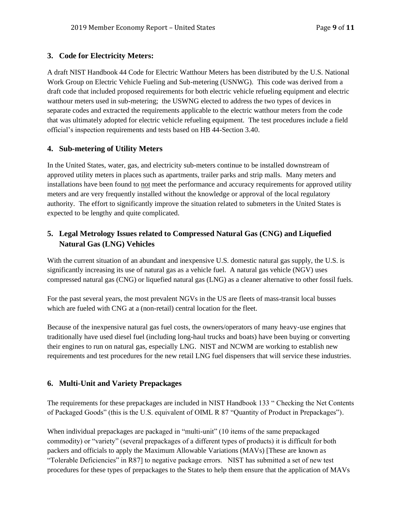# **3. Code for Electricity Meters:**

A draft NIST Handbook 44 Code for Electric Watthour Meters has been distributed by the U.S. National Work Group on Electric Vehicle Fueling and Sub-metering (USNWG). This code was derived from a draft code that included proposed requirements for both electric vehicle refueling equipment and electric watthour meters used in sub-metering; the USWNG elected to address the two types of devices in separate codes and extracted the requirements applicable to the electric watthour meters from the code that was ultimately adopted for electric vehicle refueling equipment. The test procedures include a field official's inspection requirements and tests based on HB 44-Section 3.40.

# **4. Sub-metering of Utility Meters**

In the United States, water, gas, and electricity sub-meters continue to be installed downstream of approved utility meters in places such as apartments, trailer parks and strip malls. Many meters and installations have been found to not meet the performance and accuracy requirements for approved utility meters and are very frequently installed without the knowledge or approval of the local regulatory authority. The effort to significantly improve the situation related to submeters in the United States is expected to be lengthy and quite complicated.

# **5. Legal Metrology Issues related to Compressed Natural Gas (CNG) and Liquefied Natural Gas (LNG) Vehicles**

With the current situation of an abundant and inexpensive U.S. domestic natural gas supply, the U.S. is significantly increasing its use of natural gas as a vehicle fuel. A natural gas vehicle (NGV) uses compressed natural gas (CNG) or liquefied natural gas (LNG) as a cleaner alternative to other fossil fuels.

For the past several years, the most prevalent NGVs in the US are fleets of mass-transit local busses which are fueled with CNG at a (non-retail) central location for the fleet.

Because of the inexpensive natural gas fuel costs, the owners/operators of many heavy-use engines that traditionally have used diesel fuel (including long-haul trucks and boats) have been buying or converting their engines to run on natural gas, especially LNG. NIST and NCWM are working to establish new requirements and test procedures for the new retail LNG fuel dispensers that will service these industries.

# **6. Multi-Unit and Variety Prepackages**

The requirements for these prepackages are included in NIST Handbook 133 " Checking the Net Contents of Packaged Goods" (this is the U.S. equivalent of OIML R 87 "Quantity of Product in Prepackages").

When individual prepackages are packaged in "multi-unit" (10 items of the same prepackaged commodity) or "variety" (several prepackages of a different types of products) it is difficult for both packers and officials to apply the Maximum Allowable Variations (MAVs) [These are known as "Tolerable Deficiencies" in R87] to negative package errors. NIST has submitted a set of new test procedures for these types of prepackages to the States to help them ensure that the application of MAVs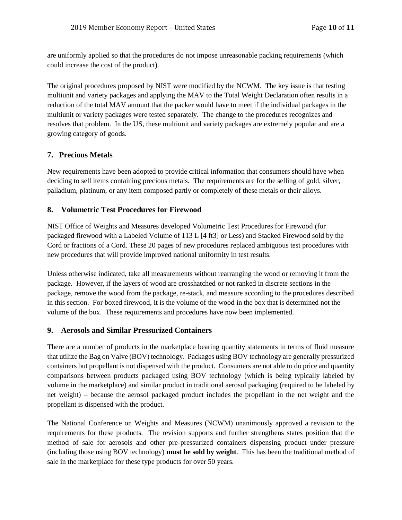are uniformly applied so that the procedures do not impose unreasonable packing requirements (which could increase the cost of the product).

The original procedures proposed by NIST were modified by the NCWM. The key issue is that testing multiunit and variety packages and applying the MAV to the Total Weight Declaration often results in a reduction of the total MAV amount that the packer would have to meet if the individual packages in the multiunit or variety packages were tested separately. The change to the procedures recognizes and resolves that problem. In the US, these multiunit and variety packages are extremely popular and are a growing category of goods.

# **7. Precious Metals**

New requirements have been adopted to provide critical information that consumers should have when deciding to sell items containing precious metals. The requirements are for the selling of gold, silver, palladium, platinum, or any item composed partly or completely of these metals or their alloys.

# **8. Volumetric Test Procedures for Firewood**

NIST Office of Weights and Measures developed Volumetric Test Procedures for Firewood (for packaged firewood with a Labeled Volume of 113 L [4 ft3] or Less) and Stacked Firewood sold by the Cord or fractions of a Cord. These 20 pages of new procedures replaced ambiguous test procedures with new procedures that will provide improved national uniformity in test results.

Unless otherwise indicated, take all measurements without rearranging the wood or removing it from the package. However, if the layers of wood are crosshatched or not ranked in discrete sections in the package, remove the wood from the package, re-stack, and measure according to the procedures described in this section. For boxed firewood, it is the volume of the wood in the box that is determined not the volume of the box. These requirements and procedures have now been implemented.

# **9. Aerosols and Similar Pressurized Containers**

There are a number of products in the marketplace bearing quantity statements in terms of fluid measure that utilize the Bag on Valve (BOV) technology. Packages using BOV technology are generally pressurized containers but propellant is not dispensed with the product. Consumers are not able to do price and quantity comparisons between products packaged using BOV technology (which is being typically labeled by volume in the marketplace) and similar product in traditional aerosol packaging (required to be labeled by net weight) – because the aerosol packaged product includes the propellant in the net weight and the propellant is dispensed with the product.

The National Conference on Weights and Measures (NCWM) unanimously approved a revision to the requirements for these products. The revision supports and further strengthens states position that the method of sale for aerosols and other pre-pressurized containers dispensing product under pressure (including those using BOV technology) **must be sold by weight**. This has been the traditional method of sale in the marketplace for these type products for over 50 years.